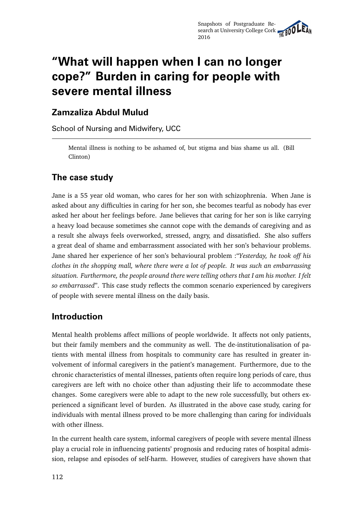# **"What will happen when I can no longer cope?" Burden in caring for people with severe mental illness**

## **Zamzaliza Abdul Mulud**

School of Nursing and Midwifery, UCC

Mental illness is nothing to be ashamed of, but stigma and bias shame us all. (Bill Clinton)

# **The case study**

Jane is a 55 year old woman, who cares for her son with schizophrenia. When Jane is asked about any difficulties in caring for her son, she becomes tearful as nobody has ever asked her about her feelings before. Jane believes that caring for her son is like carrying a heavy load because sometimes she cannot cope with the demands of caregiving and as a result she always feels overworked, stressed, angry, and dissatisfied. She also suffers a great deal of shame and embarrassment associated with her son's behaviour problems. Jane shared her experience of her son's behavioural problem :"*Yesterday, he took off his clothes in the shopping mall, where there were a lot of people. It was such an embarrassing situation. Furthermore, the people around there were telling others that I am his mother. I felt so embarrassed*". This case study reflects the common scenario experienced by caregivers of people with severe mental illness on the daily basis.

# **Introduction**

Mental health problems affect millions of people worldwide. It affects not only patients, but their family members and the community as well. The de-institutionalisation of patients with mental illness from hospitals to community care has resulted in greater involvement of informal caregivers in the patient's management. Furthermore, due to the chronic characteristics of mental illnesses, patients often require long periods of care, thus caregivers are left with no choice other than adjusting their life to accommodate these changes. Some caregivers were able to adapt to the new role successfully, but others experienced a significant level of burden. As illustrated in the above case study, caring for individuals with mental illness proved to be more challenging than caring for individuals with other illness.

In the current health care system, informal caregivers of people with severe mental illness play a crucial role in influencing patients' prognosis and reducing rates of hospital admission, relapse and episodes of self-harm. However, studies of caregivers have shown that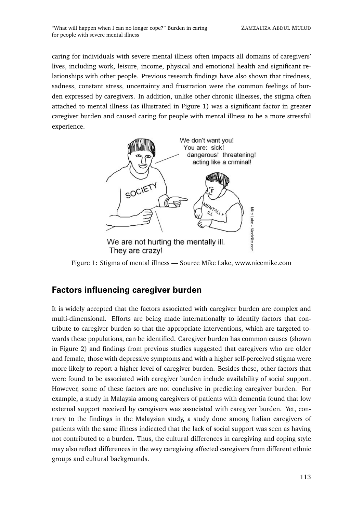caring for individuals with severe mental illness often impacts all domains of caregivers' lives, including work, leisure, income, physical and emotional health and significant relationships with other people. Previous research findings have also shown that tiredness, sadness, constant stress, uncertainty and frustration were the common feelings of burden expressed by caregivers. In addition, unlike other chronic illnesses, the stigma often attached to mental illness (as illustrated in Figure 1) was a significant factor in greater caregiver burden and caused caring for people with mental illness to be a more stressful experience.



Figure 1: Stigma of mental illness — Source Mike Lake, www.nicemike.com

## **Factors influencing caregiver burden**

It is widely accepted that the factors associated with caregiver burden are complex and multi-dimensional. Efforts are being made internationally to identify factors that contribute to caregiver burden so that the appropriate interventions, which are targeted towards these populations, can be identified. Caregiver burden has common causes (shown in Figure 2) and findings from previous studies suggested that caregivers who are older and female, those with depressive symptoms and with a higher self-perceived stigma were more likely to report a higher level of caregiver burden. Besides these, other factors that were found to be associated with caregiver burden include availability of social support. However, some of these factors are not conclusive in predicting caregiver burden. For example, a study in Malaysia among caregivers of patients with dementia found that low external support received by caregivers was associated with caregiver burden. Yet, contrary to the findings in the Malaysian study, a study done among Italian caregivers of patients with the same illness indicated that the lack of social support was seen as having not contributed to a burden. Thus, the cultural differences in caregiving and coping style may also reflect differences in the way caregiving affected caregivers from different ethnic groups and cultural backgrounds.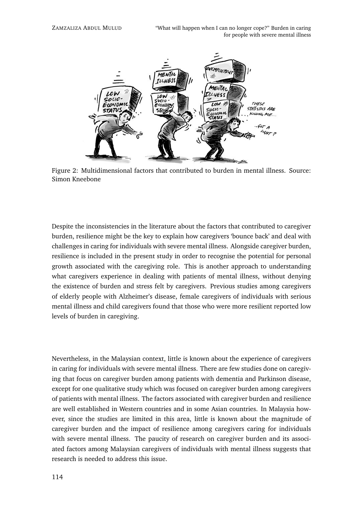

Figure 2: Multidimensional factors that contributed to burden in mental illness. Source: Simon Kneebone

Despite the inconsistencies in the literature about the factors that contributed to caregiver burden, resilience might be the key to explain how caregivers 'bounce back' and deal with challenges in caring for individuals with severe mental illness. Alongside caregiver burden, resilience is included in the present study in order to recognise the potential for personal growth associated with the caregiving role. This is another approach to understanding what caregivers experience in dealing with patients of mental illness, without denying the existence of burden and stress felt by caregivers. Previous studies among caregivers of elderly people with Alzheimer's disease, female caregivers of individuals with serious mental illness and child caregivers found that those who were more resilient reported low levels of burden in caregiving.

Nevertheless, in the Malaysian context, little is known about the experience of caregivers in caring for individuals with severe mental illness. There are few studies done on caregiving that focus on caregiver burden among patients with dementia and Parkinson disease, except for one qualitative study which was focused on caregiver burden among caregivers of patients with mental illness. The factors associated with caregiver burden and resilience are well established in Western countries and in some Asian countries. In Malaysia however, since the studies are limited in this area, little is known about the magnitude of caregiver burden and the impact of resilience among caregivers caring for individuals with severe mental illness. The paucity of research on caregiver burden and its associated factors among Malaysian caregivers of individuals with mental illness suggests that research is needed to address this issue.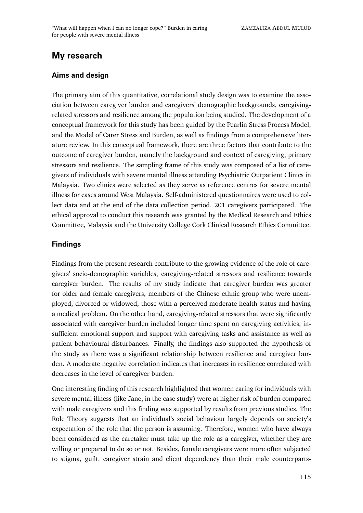# **My research**

### **Aims and design**

The primary aim of this quantitative, correlational study design was to examine the association between caregiver burden and caregivers' demographic backgrounds, caregivingrelated stressors and resilience among the population being studied. The development of a conceptual framework for this study has been guided by the Pearlin Stress Process Model, and the Model of Carer Stress and Burden, as well as findings from a comprehensive literature review. In this conceptual framework, there are three factors that contribute to the outcome of caregiver burden, namely the background and context of caregiving, primary stressors and resilience. The sampling frame of this study was composed of a list of caregivers of individuals with severe mental illness attending Psychiatric Outpatient Clinics in Malaysia. Two clinics were selected as they serve as reference centres for severe mental illness for cases around West Malaysia. Self-administered questionnaires were used to collect data and at the end of the data collection period, 201 caregivers participated. The ethical approval to conduct this research was granted by the Medical Research and Ethics Committee, Malaysia and the University College Cork Clinical Research Ethics Committee.

### **Findings**

Findings from the present research contribute to the growing evidence of the role of caregivers' socio-demographic variables, caregiving-related stressors and resilience towards caregiver burden. The results of my study indicate that caregiver burden was greater for older and female caregivers, members of the Chinese ethnic group who were unemployed, divorced or widowed, those with a perceived moderate health status and having a medical problem. On the other hand, caregiving-related stressors that were significantly associated with caregiver burden included longer time spent on caregiving activities, insufficient emotional support and support with caregiving tasks and assistance as well as patient behavioural disturbances. Finally, the findings also supported the hypothesis of the study as there was a significant relationship between resilience and caregiver burden. A moderate negative correlation indicates that increases in resilience correlated with decreases in the level of caregiver burden.

One interesting finding of this research highlighted that women caring for individuals with severe mental illness (like Jane, in the case study) were at higher risk of burden compared with male caregivers and this finding was supported by results from previous studies. The Role Theory suggests that an individual's social behaviour largely depends on society's expectation of the role that the person is assuming. Therefore, women who have always been considered as the caretaker must take up the role as a caregiver, whether they are willing or prepared to do so or not. Besides, female caregivers were more often subjected to stigma, guilt, caregiver strain and client dependency than their male counterparts